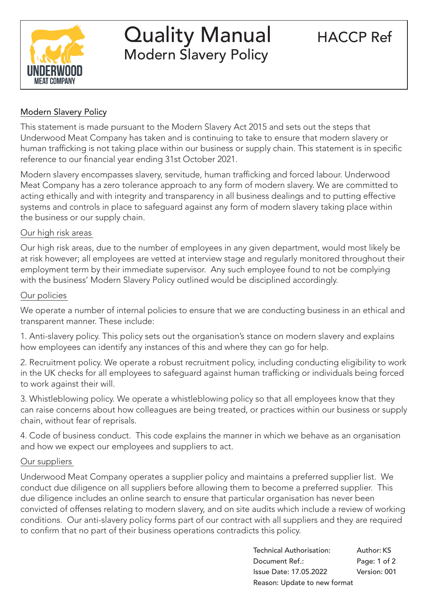

# Quality Manual HACCP Ref Modern Slavery Policy

## Modern Slavery Policy

This statement is made pursuant to the Modern Slavery Act 2015 and sets out the steps that Underwood Meat Company has taken and is continuing to take to ensure that modern slavery or human trafficking is not taking place within our business or supply chain. This statement is in specific reference to our financial year ending 31st October 2021.

Modern slavery encompasses slavery, servitude, human trafficking and forced labour. Underwood Meat Company has a zero tolerance approach to any form of modern slavery. We are committed to acting ethically and with integrity and transparency in all business dealings and to putting effective systems and controls in place to safeguard against any form of modern slavery taking place within the business or our supply chain.

## Our high risk areas

Our high risk areas, due to the number of employees in any given department, would most likely be at risk however; all employees are vetted at interview stage and regularly monitored throughout their employment term by their immediate supervisor. Any such employee found to not be complying with the business' Modern Slavery Policy outlined would be disciplined accordingly.

## Our policies

We operate a number of internal policies to ensure that we are conducting business in an ethical and transparent manner. These include:

1. Anti-slavery policy. This policy sets out the organisation's stance on modern slavery and explains how employees can identify any instances of this and where they can go for help.

2. Recruitment policy. We operate a robust recruitment policy, including conducting eligibility to work in the UK checks for all employees to safeguard against human trafficking or individuals being forced to work against their will.

3. Whistleblowing policy. We operate a whistleblowing policy so that all employees know that they can raise concerns about how colleagues are being treated, or practices within our business or supply chain, without fear of reprisals.

4. Code of business conduct. This code explains the manner in which we behave as an organisation and how we expect our employees and suppliers to act.

## Our suppliers

Underwood Meat Company operates a supplier policy and maintains a preferred supplier list. We conduct due diligence on all suppliers before allowing them to become a preferred supplier. This due diligence includes an online search to ensure that particular organisation has never been convicted of offenses relating to modern slavery, and on site audits which include a review of working conditions. Our anti-slavery policy forms part of our contract with all suppliers and they are required to confirm that no part of their business operations contradicts this policy.

|                | Technical Authorisation:      | Author: KS   |
|----------------|-------------------------------|--------------|
| Document Ref.: |                               | Page: 1 of 2 |
|                | <b>Issue Date: 17.05.2022</b> | Version: 001 |
|                | Reason: Update to new format  |              |